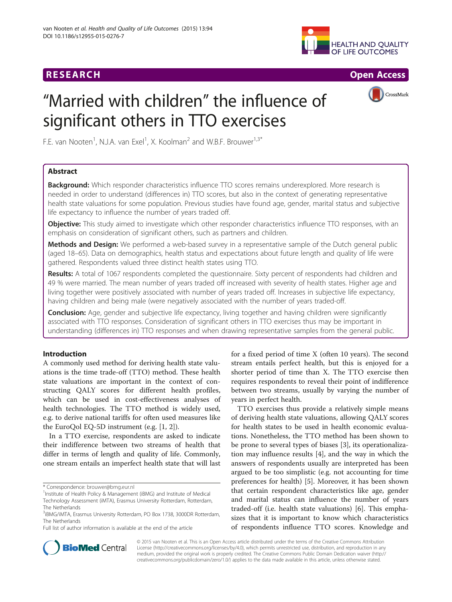## **RESEARCH RESEARCH** *CHECKER CHECKER CHECKER CHECKER CHECKER CHECKER CHECKER CHECKER CHECKER CHECKER CHECKER*





# "Married with children" the influence of significant others in TTO exercises

F.E. van Nooten<sup>1</sup>, N.J.A. van Exel<sup>1</sup>, X. Koolman<sup>2</sup> and W.B.F. Brouwer<sup>1,3\*</sup>

## Abstract

Background: Which responder characteristics influence TTO scores remains underexplored. More research is needed in order to understand (differences in) TTO scores, but also in the context of generating representative health state valuations for some population. Previous studies have found age, gender, marital status and subjective life expectancy to influence the number of years traded off.

Objective: This study aimed to investigate which other responder characteristics influence TTO responses, with an emphasis on consideration of significant others, such as partners and children.

Methods and Design: We performed a web-based survey in a representative sample of the Dutch general public (aged 18–65). Data on demographics, health status and expectations about future length and quality of life were gathered. Respondents valued three distinct health states using TTO.

Results: A total of 1067 respondents completed the questionnaire. Sixty percent of respondents had children and 49 % were married. The mean number of years traded off increased with severity of health states. Higher age and living together were positively associated with number of years traded off. Increases in subjective life expectancy, having children and being male (were negatively associated with the number of years traded-off.

**Conclusion:** Age, gender and subjective life expectancy, living together and having children were significantly associated with TTO responses. Consideration of significant others in TTO exercises thus may be important in understanding (differences in) TTO responses and when drawing representative samples from the general public.

## Introduction

A commonly used method for deriving health state valuations is the time trade-off (TTO) method. These health state valuations are important in the context of constructing QALY scores for different health profiles, which can be used in cost-effectiveness analyses of health technologies. The TTO method is widely used, e.g. to derive national tariffs for often used measures like the EuroQol EQ-5D instrument (e.g. [[1, 2\]](#page-6-0)).

In a TTO exercise, respondents are asked to indicate their indifference between two streams of health that differ in terms of length and quality of life. Commonly, one stream entails an imperfect health state that will last

\* Correspondence: [brouwer@bmg.eur.nl](mailto:brouwer@bmg.eur.nl) <sup>1</sup>

Full list of author information is available at the end of the article

for a fixed period of time X (often 10 years). The second stream entails perfect health, but this is enjoyed for a shorter period of time than X. The TTO exercise then requires respondents to reveal their point of indifference between two streams, usually by varying the number of years in perfect health.

TTO exercises thus provide a relatively simple means of deriving health state valuations, allowing QALY scores for health states to be used in health economic evaluations. Nonetheless, the TTO method has been shown to be prone to several types of biases [[3\]](#page-6-0), its operationalization may influence results [[4\]](#page-6-0), and the way in which the answers of respondents usually are interpreted has been argued to be too simplistic (e.g. not accounting for time preferences for health) [[5\]](#page-6-0). Moreover, it has been shown that certain respondent characteristics like age, gender and marital status can influence the number of years traded-off (i.e. health state valuations) [\[6](#page-6-0)]. This emphasizes that it is important to know which characteristics of respondents influence TTO scores. Knowledge and



© 2015 van Nooten et al. This is an Open Access article distributed under the terms of the Creative Commons Attribution License (<http://creativecommons.org/licenses/by/4.0>), which permits unrestricted use, distribution, and reproduction in any medium, provided the original work is properly credited. The Creative Commons Public Domain Dedication waiver [\(http://](http://creativecommons.org/publicdomain/zero/1.0/) [creativecommons.org/publicdomain/zero/1.0/\)](http://creativecommons.org/publicdomain/zero/1.0/) applies to the data made available in this article, unless otherwise stated.

<sup>&</sup>lt;sup>1</sup> Institute of Health Policy & Management (iBMG) and Institute of Medical Technology Assessment (iMTA), Erasmus University Rotterdam, Rotterdam, The Netherlands

<sup>&</sup>lt;sup>3</sup>iBMG/iMTA, Erasmus University Rotterdam, PO Box 1738, 3000DR Rotterdam, The Netherlands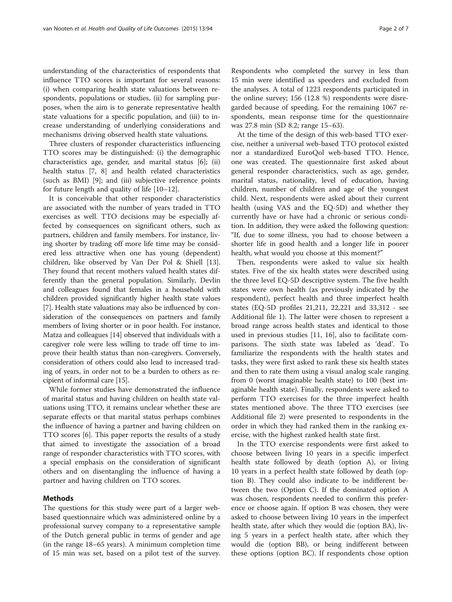understanding of the characteristics of respondents that influence TTO scores is important for several reasons: (i) when comparing health state valuations between respondents, populations or studies, (ii) for sampling purposes, when the aim is to generate representative health state valuations for a specific population, and (iii) to increase understanding of underlying considerations and mechanisms driving observed health state valuations.

Three clusters of responder characteristics influencing TTO scores may be distinguished: (i) the demographic characteristics age, gender, and marital status [\[6](#page-6-0)]; (ii) health status [\[7](#page-6-0), [8\]](#page-6-0) and health related characteristics (such as BMI) [\[9](#page-6-0)]; and (iii) subjective reference points for future length and quality of life [\[10](#page-6-0)–[12\]](#page-6-0).

It is conceivable that other responder characteristics are associated with the number of years traded in TTO exercises as well. TTO decisions may be especially affected by consequences on significant others, such as partners, children and family members. For instance, living shorter by trading off more life time may be considered less attractive when one has young (dependent) children, like observed by Van Der Pol & Shiell [\[13](#page-6-0)]. They found that recent mothers valued health states differently than the general population. Similarly, Devlin and colleagues found that females in a household with children provided significantly higher health state values [[7\]](#page-6-0). Health state valuations may also be influenced by consideration of the consequences on partners and family members of living shorter or in poor health. For instance, Matza and colleagues [\[14\]](#page-6-0) observed that individuals with a caregiver role were less willing to trade off time to improve their health status than non-caregivers. Conversely, consideration of others could also lead to increased trading of years, in order not to be a burden to others as recipient of informal care [[15](#page-6-0)].

While former studies have demonstrated the influence of marital status and having children on health state valuations using TTO, it remains unclear whether these are separate effects or that marital status perhaps combines the influence of having a partner and having children on TTO scores [[6\]](#page-6-0). This paper reports the results of a study that aimed to investigate the association of a broad range of responder characteristics with TTO scores, with a special emphasis on the consideration of significant others and on disentangling the influence of having a partner and having children on TTO scores.

#### Methods

The questions for this study were part of a larger webbased questionnaire which was administered online by a professional survey company to a representative sample of the Dutch general public in terms of gender and age (in the range 18–65 years). A minimum completion time of 15 min was set, based on a pilot test of the survey.

Respondents who completed the survey in less than 15 min were identified as speeders and excluded from the analyses. A total of 1223 respondents participated in the online survey; 156 (12.8 %) respondents were disregarded because of speeding. For the remaining 1067 respondents, mean response time for the questionnaire was 27.8 min (SD 8.2; range 15–63).

At the time of the design of this web-based TTO exercise, neither a universal web-based TTO protocol existed nor a standardized EuroQol web-based TTO. Hence, one was created. The questionnaire first asked about general responder characteristics, such as age, gender, marital status, nationality, level of education, having children, number of children and age of the youngest child. Next, respondents were asked about their current health (using VAS and the EQ-5D) and whether they currently have or have had a chronic or serious condition. In addition, they were asked the following question: "If, due to some illness, you had to choose between a shorter life in good health and a longer life in poorer health, what would you choose at this moment?"

Then, respondents were asked to value six health states. Five of the six health states were described using the three level EQ-5D descriptive system. The five health states were own health (as previously indicated by the respondent), perfect health and three imperfect health states (EQ-5D profiles 21,211, 22,221 and 33,312 - see Additional file [1](#page-6-0)). The latter were chosen to represent a broad range across health states and identical to those used in previous studies [[11](#page-6-0), [16](#page-6-0)], also to facilitate comparisons. The sixth state was labeled as 'dead'. To familiarize the respondents with the health states and tasks, they were first asked to rank these six health states and then to rate them using a visual analog scale ranging from 0 (worst imaginable health state) to 100 (best imaginable health state). Finally, respondents were asked to perform TTO exercises for the three imperfect health states mentioned above. The three TTO exercises (see Additional file [2](#page-6-0)) were presented to respondents in the order in which they had ranked them in the ranking exercise, with the highest ranked health state first.

In the TTO exercise respondents were first asked to choose between living 10 years in a specific imperfect health state followed by death (option A), or living 10 years in a perfect health state followed by death (option B). They could also indicate to be indifferent between the two (Option C). If the dominated option A was chosen, respondents needed to confirm this preference or choose again. If option B was chosen, they were asked to choose between living 10 years in the imperfect health state, after which they would die (option BA), living 5 years in a perfect health state, after which they would die (option BB), or being indifferent between these options (option BC). If respondents chose option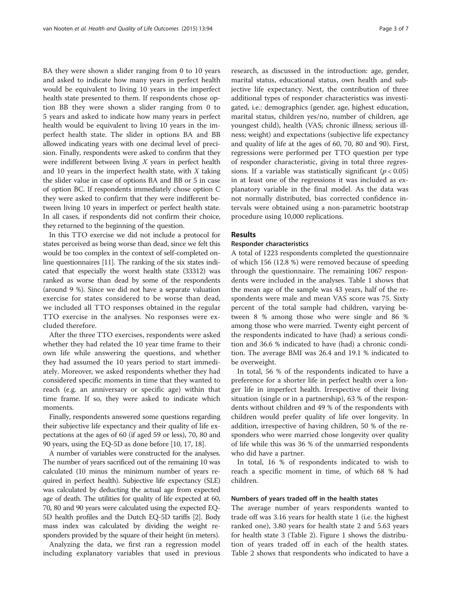BA they were shown a slider ranging from 0 to 10 years and asked to indicate how many years in perfect health would be equivalent to living 10 years in the imperfect health state presented to them. If respondents chose option BB they were shown a slider ranging from 0 to 5 years and asked to indicate how many years in perfect health would be equivalent to living 10 years in the imperfect health state. The slider in options BA and BB allowed indicating years with one decimal level of precision. Finally, respondents were asked to confirm that they were indifferent between living X years in perfect health and 10 years in the imperfect health state, with  $X$  taking the slider value in case of options BA and BB or 5 in case of option BC. If respondents immediately chose option C they were asked to confirm that they were indifferent between living 10 years in imperfect or perfect health state. In all cases, if respondents did not confirm their choice, they returned to the beginning of the question.

In this TTO exercise we did not include a protocol for states perceived as being worse than dead, since we felt this would be too complex in the context of self-completed online questionnaires [\[11\]](#page-6-0). The ranking of the six states indicated that especially the worst health state (33312) was ranked as worse than dead by some of the respondents (around 9 %). Since we did not have a separate valuation exercise for states considered to be worse than dead, we included all TTO responses obtained in the regular TTO exercise in the analyses. No responses were excluded therefore.

After the three TTO exercises, respondents were asked whether they had related the 10 year time frame to their own life while answering the questions, and whether they had assumed the 10 years period to start immediately. Moreover, we asked respondents whether they had considered specific moments in time that they wanted to reach (e.g. an anniversary or specific age) within that time frame. If so, they were asked to indicate which moments.

Finally, respondents answered some questions regarding their subjective life expectancy and their quality of life expectations at the ages of 60 (if aged 59 or less), 70, 80 and 90 years, using the EQ-5D as done before [\[10, 17, 18](#page-6-0)].

A number of variables were constructed for the analyses. The number of years sacrificed out of the remaining 10 was calculated (10 minus the minimum number of years required in perfect health). Subjective life expectancy (SLE) was calculated by deducting the actual age from expected age of death. The utilities for quality of life expected at 60, 70, 80 and 90 years were calculated using the expected EQ-5D health profiles and the Dutch EQ-5D tariffs [\[2\]](#page-6-0). Body mass index was calculated by dividing the weight responders provided by the square of their height (in meters).

Analyzing the data, we first ran a regression model including explanatory variables that used in previous

research, as discussed in the introduction: age, gender, marital status, educational status, own health and subjective life expectancy. Next, the contribution of three additional types of responder characteristics was investigated, i.e.: demographics (gender, age, highest education, marital status, children yes/no, number of children, age youngest child), health (VAS; chronic illness; serious ill-

ness; weight) and expectations (subjective life expectancy and quality of life at the ages of 60, 70, 80 and 90). First, regressions were performed per TTO question per type of responder characteristic, giving in total three regressions. If a variable was statistically significant ( $p < 0.05$ ) in at least one of the regressions it was included as explanatory variable in the final model. As the data was not normally distributed, bias corrected confidence intervals were obtained using a non-parametric bootstrap procedure using 10,000 replications.

#### Results

#### Responder characteristics

A total of 1223 respondents completed the questionnaire of which 156 (12.8 %) were removed because of speeding through the questionnaire. The remaining 1067 respondents were included in the analyses. Table [1](#page-3-0) shows that the mean age of the sample was 43 years, half of the respondents were male and mean VAS score was 75. Sixty percent of the total sample had children, varying between 8 % among those who were single and 86 % among those who were married. Twenty eight percent of the respondents indicated to have (had) a serious condition and 36.6 % indicated to have (had) a chronic condition. The average BMI was 26.4 and 19.1 % indicated to be overweight.

In total, 56 % of the respondents indicated to have a preference for a shorter life in perfect health over a longer life in imperfect health. Irrespective of their living situation (single or in a partnership), 63 % of the respondents without children and 49 % of the respondents with children would prefer quality of life over longevity. In addition, irrespective of having children, 50 % of the responders who were married chose longevity over quality of life while this was 36 % of the unmarried respondents who did have a partner.

In total, 16 % of respondents indicated to wish to reach a specific moment in time, of which 68 % had children.

#### Numbers of years traded off in the health states

The average number of years respondents wanted to trade off was 3.16 years for health state 1 (i.e. the highest ranked one), 3.80 years for health state 2 and 5.63 years for health state 3 (Table [2\)](#page-3-0). Figure [1](#page-4-0) shows the distribution of years traded off in each of the health states. Table [2](#page-3-0) shows that respondents who indicated to have a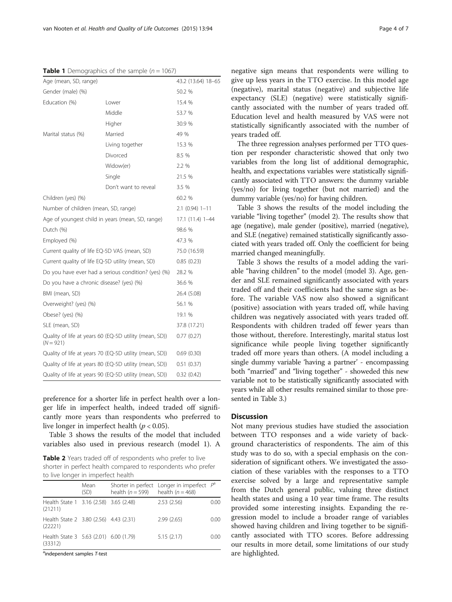<span id="page-3-0"></span>

|  | <b>Table 1</b> Demographics of the sample $(n = 1067)$ |  |  |  |
|--|--------------------------------------------------------|--|--|--|
|--|--------------------------------------------------------|--|--|--|

| Age (mean, SD, range)                                  |                                                        | 43.2 (13.64) 18-65 |  |  |
|--------------------------------------------------------|--------------------------------------------------------|--------------------|--|--|
| Gender (male) (%)                                      |                                                        | 50.2 %             |  |  |
| Education (%)                                          | Lower                                                  | 15.4 %             |  |  |
|                                                        | Middle                                                 | 53.7 %             |  |  |
|                                                        | Higher                                                 | 30.9 %             |  |  |
| Marital status (%)                                     | Married                                                | 49 %               |  |  |
|                                                        | Living together                                        | 15.3 %             |  |  |
|                                                        | Divorced                                               | 8.5 %              |  |  |
|                                                        | Widow(er)                                              | 2.2 %              |  |  |
|                                                        | Single                                                 | 21.5 %             |  |  |
|                                                        | Don't want to reveal                                   | 3.5 %              |  |  |
| Children (yes) (%)                                     | 60.2 %                                                 |                    |  |  |
| Number of children (mean, SD, range)                   | $2.1$ (0.94) $1 - 11$                                  |                    |  |  |
| Age of youngest child in years (mean, SD, range)       | 17.1 (11.4) 1-44                                       |                    |  |  |
| Dutch (%)                                              | 98.6 %                                                 |                    |  |  |
| Employed (%)                                           |                                                        | 47.3 %             |  |  |
| Current quality of life EQ-5D VAS (mean, SD)           | 75.0 (16.59)                                           |                    |  |  |
| Current quality of life EQ-5D utility (mean, SD)       | 0.85(0.23)                                             |                    |  |  |
| Do you have ever had a serious condition? (yes) (%)    | 28.2 %                                                 |                    |  |  |
| Do you have a chronic disease? (yes) (%)               | 36.6 %                                                 |                    |  |  |
| BMI (mean, SD)                                         |                                                        | 26.4 (5.08)        |  |  |
| Overweight? (yes) (%)                                  |                                                        | 56.1 %             |  |  |
| Obese? (yes) (%)                                       |                                                        | 19.1 %             |  |  |
| SLE (mean, SD)                                         |                                                        | 37.8 (17.21)       |  |  |
| $(N = 921)$                                            | Quality of life at years 60 (EQ-5D utility (mean, SD)) | 0.77(0.27)         |  |  |
| Quality of life at years 70 (EQ-5D utility (mean, SD)) | 0.69(0.30)                                             |                    |  |  |
| Quality of life at years 80 (EQ-5D utility (mean, SD)) | 0.51(0.37)                                             |                    |  |  |
| Quality of life at years 90 (EQ-5D utility (mean, SD)) | 0.32(0.42)                                             |                    |  |  |

preference for a shorter life in perfect health over a longer life in imperfect health, indeed traded off significantly more years than respondents who preferred to live longer in imperfect health ( $p < 0.05$ ).

Table [3](#page-5-0) shows the results of the model that included variables also used in previous research (model 1). A

Table 2 Years traded off of respondents who prefer to live shorter in perfect health compared to respondents who prefer to live longer in imperfect health

|                                                   | Mean<br>(SD) | health $(n = 599)$ | Shorter in perfect Longer in imperfect $P^a$<br>health $(n = 468)$ |      |
|---------------------------------------------------|--------------|--------------------|--------------------------------------------------------------------|------|
| Health State 1 3.16 (2.58) 3.65 (2.48)<br>(21211) |              |                    | 2.53(2.56)                                                         | 0.00 |
| Health State 2 3.80 (2.56) 4.43 (2.31)<br>(22221) |              |                    | 2.99(2.65)                                                         | 0.00 |
| Health State 3 5.63 (2.01) 6.00 (1.79)<br>(33312) |              |                    | 5.15(2.17)                                                         | 0.00 |

<sup>a</sup>independent samples T-test

negative sign means that respondents were willing to give up less years in the TTO exercise. In this model age (negative), marital status (negative) and subjective life expectancy (SLE) (negative) were statistically significantly associated with the number of years traded off. Education level and health measured by VAS were not statistically significantly associated with the number of years traded off.

The three regression analyses performed per TTO question per responder characteristic showed that only two variables from the long list of additional demographic, health, and expectations variables were statistically significantly associated with TTO answers: the dummy variable (yes/no) for living together (but not married) and the dummy variable (yes/no) for having children.

Table [3](#page-5-0) shows the results of the model including the variable "living together" (model 2). The results show that age (negative), male gender (positive), married (negative), and SLE (negative) remained statistically significantly associated with years traded off. Only the coefficient for being married changed meaningfully.

Table [3](#page-5-0) shows the results of a model adding the variable "having children" to the model (model 3). Age, gender and SLE remained significantly associated with years traded off and their coefficients had the same sign as before. The variable VAS now also showed a significant (positive) association with years traded off, while having children was negatively associated with years traded off. Respondents with children traded off fewer years than those without, therefore. Interestingly, marital status lost significance while people living together significantly traded off more years than others. (A model including a single dummy variable 'having a partner' - encompassing both "married" and "living together" - showeded this new variable not to be statistically significantly associated with years while all other results remained similar to those presented in Table [3.](#page-5-0))

## **Discussion**

Not many previous studies have studied the association between TTO responses and a wide variety of background characteristics of respondents. The aim of this study was to do so, with a special emphasis on the consideration of significant others. We investigated the association of these variables with the responses to a TTO exercise solved by a large and representative sample from the Dutch general public, valuing three distinct health states and using a 10 year time frame. The results provided some interesting insights. Expanding the regression model to include a broader range of variables showed having children and living together to be significantly associated with TTO scores. Before addressing our results in more detail, some limitations of our study are highlighted.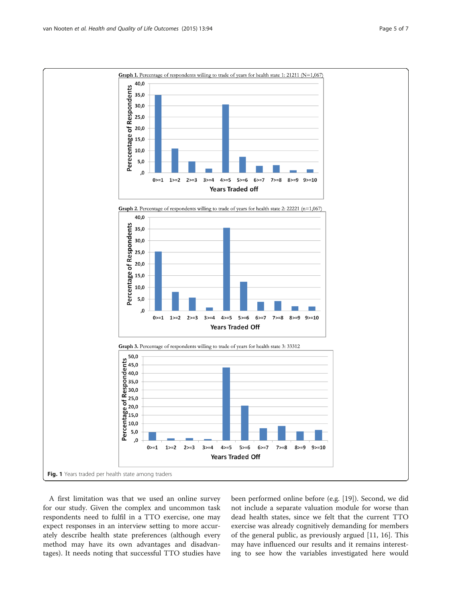<span id="page-4-0"></span>

A first limitation was that we used an online survey for our study. Given the complex and uncommon task respondents need to fulfil in a TTO exercise, one may expect responses in an interview setting to more accurately describe health state preferences (although every method may have its own advantages and disadvantages). It needs noting that successful TTO studies have

been performed online before (e.g. [\[19](#page-6-0)]). Second, we did not include a separate valuation module for worse than dead health states, since we felt that the current TTO exercise was already cognitively demanding for members of the general public, as previously argued [[11, 16\]](#page-6-0). This may have influenced our results and it remains interesting to see how the variables investigated here would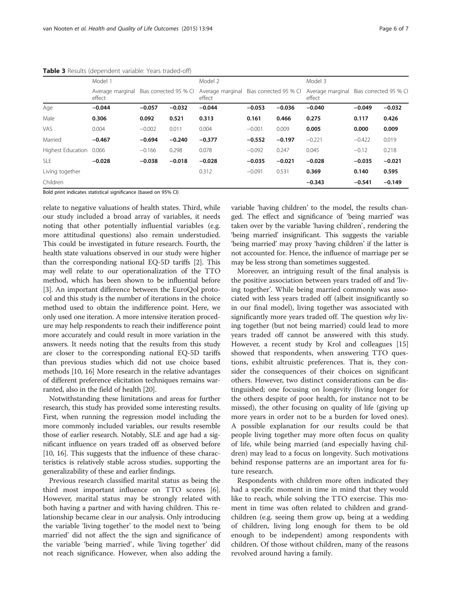|                         | Model 1                                              |          |          | Model 2  |                                         |          | Model 3  |                                         |          |
|-------------------------|------------------------------------------------------|----------|----------|----------|-----------------------------------------|----------|----------|-----------------------------------------|----------|
|                         | Bias corrected 95 % CI<br>Average marginal<br>effect |          |          | effect   | Average marginal Bias corrected 95 % CI |          | effect   | Average marginal Bias corrected 95 % CI |          |
| Age                     | $-0.044$                                             | $-0.057$ | $-0.032$ | $-0.044$ | $-0.053$                                | $-0.036$ | $-0.040$ | $-0.049$                                | $-0.032$ |
| Male                    | 0.306                                                | 0.092    | 0.521    | 0.313    | 0.161                                   | 0.466    | 0.275    | 0.117                                   | 0.426    |
| VAS                     | 0.004                                                | $-0.002$ | 0.011    | 0.004    | $-0.001$                                | 0.009    | 0.005    | 0.000                                   | 0.009    |
| Married                 | $-0.467$                                             | $-0.694$ | $-0.240$ | $-0.377$ | $-0.552$                                | $-0.197$ | $-0.221$ | $-0.422$                                | 0.019    |
| Highest Education 0.066 |                                                      | $-0.166$ | 0.298    | 0.078    | $-0.092$                                | 0.247    | 0.045    | $-0.12$                                 | 0.218    |
| <b>SLE</b>              | $-0.028$                                             | $-0.038$ | $-0.018$ | $-0.028$ | $-0.035$                                | $-0.021$ | $-0.028$ | $-0.035$                                | $-0.021$ |
| Living together         |                                                      |          |          | 0.312    | $-0.091$                                | 0.531    | 0.369    | 0.140                                   | 0.595    |
| Children                |                                                      |          |          |          |                                         |          | $-0.343$ | $-0.541$                                | $-0.149$ |

<span id="page-5-0"></span>Table 3 Results (dependent variable: Years traded-off)

Bold print indicates statistical significance (based on 95% CI)

relate to negative valuations of health states. Third, while our study included a broad array of variables, it needs noting that other potentially influential variables (e.g. more attitudinal questions) also remain understudied. This could be investigated in future research. Fourth, the health state valuations observed in our study were higher than the corresponding national EQ-5D tariffs [\[2](#page-6-0)]. This may well relate to our operationalization of the TTO method, which has been shown to be influential before [[3\]](#page-6-0). An important difference between the EuroQol protocol and this study is the number of iterations in the choice method used to obtain the indifference point. Here, we only used one iteration. A more intensive iteration procedure may help respondents to reach their indifference point more accurately and could result in more variation in the answers. It needs noting that the results from this study are closer to the corresponding national EQ-5D tariffs than previous studies which did not use choice based methods [\[10, 16\]](#page-6-0) More research in the relative advantages of different preference elicitation techniques remains warranted, also in the field of health [\[20](#page-6-0)].

Notwithstanding these limitations and areas for further research, this study has provided some interesting results. First, when running the regression model including the more commonly included variables, our results resemble those of earlier research. Notably, SLE and age had a significant influence on years traded off as observed before [[10](#page-6-0), [16\]](#page-6-0). This suggests that the influence of these characteristics is relatively stable across studies, supporting the generalizability of these and earlier findings.

Previous research classified marital status as being the third most important influence on TTO scores [\[6](#page-6-0)]. However, marital status may be strongly related with both having a partner and with having children. This relationship became clear in our analysis. Only introducing the variable 'living together' to the model next to 'being married' did not affect the the sign and significance of the variable 'being married', while 'living together' did not reach significance. However, when also adding the variable 'having children' to the model, the results changed. The effect and significance of 'being married' was taken over by the variable 'having children', rendering the 'being married' insignificant. This suggests the variable 'being married' may proxy 'having children' if the latter is not accounted for. Hence, the influence of marriage per se may be less strong than sometimes suggested.

Moreover, an intriguing result of the final analysis is the positive association between years traded off and 'living together'. While being married commonly was associated with less years traded off (albeit insignificantly so in our final model), living together was associated with significantly more years traded off. The question why living together (but not being married) could lead to more years traded off cannot be answered with this study. However, a recent study by Krol and colleagues [[15](#page-6-0)] showed that respondents, when answering TTO questions, exhibit altruistic preferences. That is, they consider the consequences of their choices on significant others. However, two distinct considerations can be distinguished; one focusing on longevity (living longer for the others despite of poor health, for instance not to be missed), the other focusing on quality of life (giving up more years in order not to be a burden for loved ones). A possible explanation for our results could be that people living together may more often focus on quality of life, while being married (and especially having children) may lead to a focus on longevity. Such motivations behind response patterns are an important area for future research.

Respondents with children more often indicated they had a specific moment in time in mind that they would like to reach, while solving the TTO exercise. This moment in time was often related to children and grandchildren (e.g. seeing them grow up, being at a wedding of children, living long enough for them to be old enough to be independent) among respondents with children. Of those without children, many of the reasons revolved around having a family.